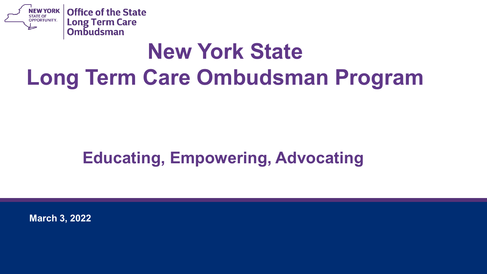

## **New York State Long Term Care Ombudsman Program**

#### **Educating, Empowering, Advocating**

**March 3, 2022**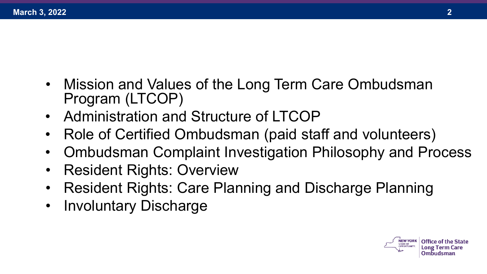- Mission and Values of the Long Term Care Ombudsman Program (LTCOP)
- Administration and Structure of LTCOP
- Role of Certified Ombudsman (paid staff and volunteers)
- Ombudsman Complaint Investigation Philosophy and Process
- Resident Rights: Overview
- Resident Rights: Care Planning and Discharge Planning
- Involuntary Discharge

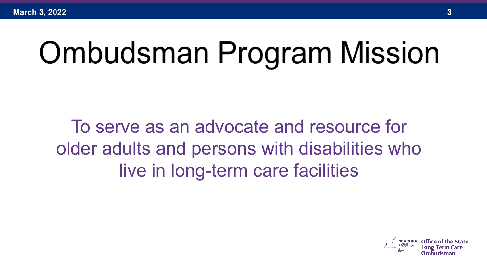# **Ombudsman Program Mission**

To serve as an advocate and resource for older adults and persons with disabilities who live in long-term care facilities

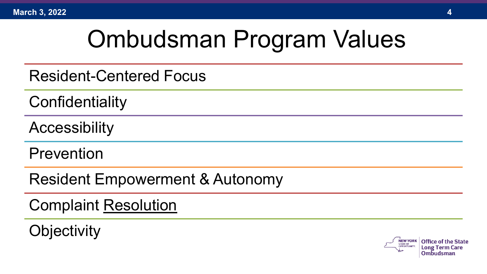## Ombudsman Program Values

Resident-Centered Focus

**Confidentiality** 

**Accessibility** 

Prevention

Resident Empowerment & Autonomy

Complaint Resolution

**Objectivity** 

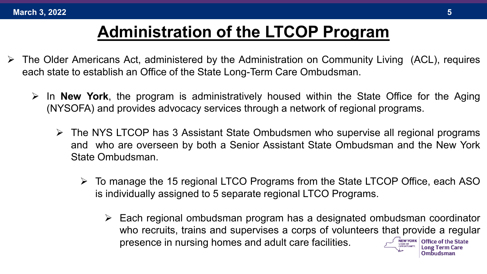#### **Administration of the LTCOP Program**

- $\triangleright$  The Older Americans Act, administered by the Administration on Community Living (ACL), requires each state to establish an Office of the State Long-Term Care Ombudsman.
	- In **New York**, the program is administratively housed within the State Office for the Aging (NYSOFA) and provides advocacy services through a network of regional programs.
		- The NYS LTCOP has 3 Assistant State Ombudsmen who supervise all regional programs and who are overseen by both a Senior Assistant State Ombudsman and the New York State Ombudsman.
			- To manage the 15 regional LTCO Programs from the State LTCOP Office, each ASO is individually assigned to 5 separate regional LTCO Programs.
				- Each regional ombudsman program has a designated ombudsman coordinator who recruits, trains and supervises a corps of volunteers that provide a regular presence in nursing homes and adult care facilities.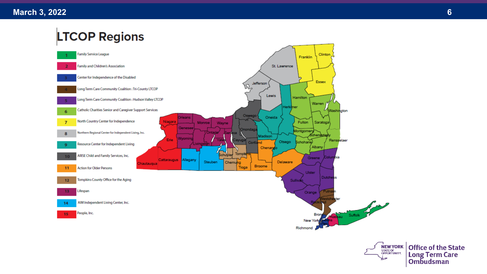#### **LTCOP Regions**





Office of the State Long Term Care<br>Ombudsman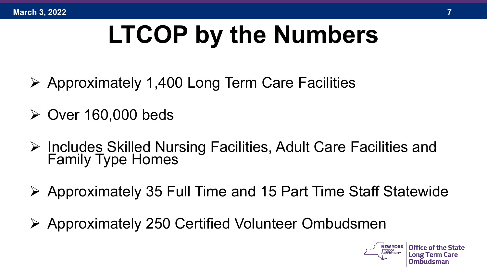## **LTCOP by the Numbers**

- $\triangleright$  Approximately 1,400 Long Term Care Facilities
- $\triangleright$  Over 160,000 beds
- > Includes Skilled Nursing Facilities, Adult Care Facilities and Family Type Homes
- $\triangleright$  Approximately 35 Full Time and 15 Part Time Staff Statewide
- Approximately 250 Certified Volunteer Ombudsmen

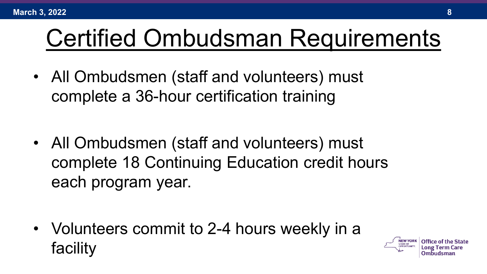## Certified Ombudsman Requirements

• All Ombudsmen (staff and volunteers) must complete a 36-hour certification training

• All Ombudsmen (staff and volunteers) must complete 18 Continuing Education credit hours each program year.

• Volunteers commit to 2-4 hours weekly in a facility

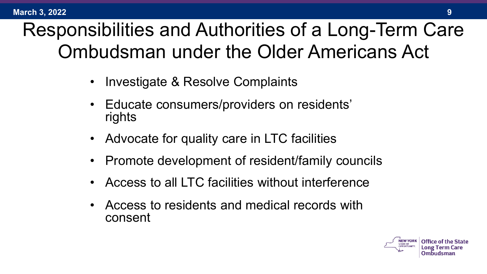### Responsibilities and Authorities of a Long-Term Care Ombudsman under the Older Americans Act

- Investigate & Resolve Complaints
- Educate consumers/providers on residents' rights
- Advocate for quality care in LTC facilities
- Promote development of resident/family councils
- Access to all LTC facilities without interference
- Access to residents and medical records with consent

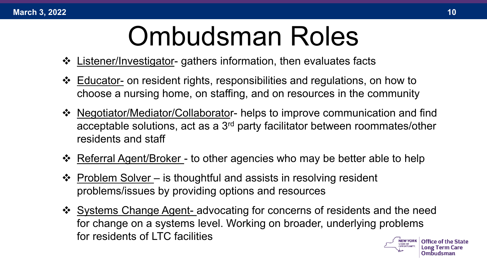#### **March 3, 2022 10**

## Ombudsman Roles

- Listener/Investigator- gathers information, then evaluates facts
- Educator- on resident rights, responsibilities and regulations, on how to choose a nursing home, on staffing, and on resources in the community
- Negotiator/Mediator/Collaborator- helps to improve communication and find acceptable solutions, act as a 3rd party facilitator between roommates/other residents and staff
- ❖ Referral Agent/Broker to other agencies who may be better able to help
- $\cdot$  Problem Solver is thoughtful and assists in resolving resident problems/issues by providing options and resources
- Systems Change Agent- advocating for concerns of residents and the need for change on a systems level. Working on broader, underlying problems for residents of LTC facilities

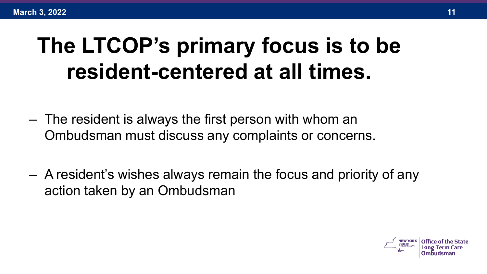## **The LTCOP's primary focus is to be resident-centered at all times.**

- The resident is always the first person with whom an Ombudsman must discuss any complaints or concerns.
- A resident's wishes always remain the focus and priority of any action taken by an Ombudsman

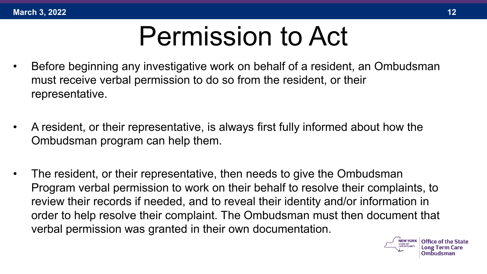

- Before beginning any investigative work on behalf of a resident, an Ombudsman must receive verbal permission to do so from the resident, or their representative.
- A resident, or their representative, is always first fully informed about how the Ombudsman program can help them.
- The resident, or their representative, then needs to give the Ombudsman Program verbal permission to work on their behalf to resolve their complaints, to review their records if needed, and to reveal their identity and/or information in order to help resolve their complaint. The Ombudsman must then document that verbal permission was granted in their own documentation.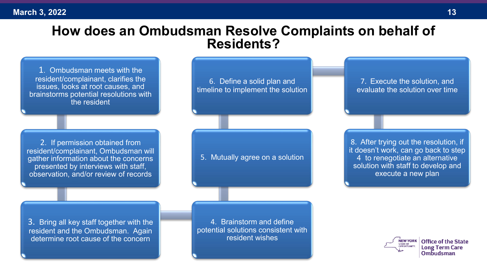#### **How does an Ombudsman Resolve Complaints on behalf of Residents?**

1. Ombudsman meets with the resident/complainant, clarifies the issues, looks at root causes, and brainstorms potential resolutions with the resident

2. If permission obtained from resident/complainant, Ombudsman will gather information about the concerns presented by interviews with staff, observation, and/or review of records

6. Define a solid plan and timeline to implement the solution

5. Mutually agree on a solution

7. Execute the solution, and evaluate the solution over time

8. After trying out the resolution, if it doesn't work, can go back to step 4 to renegotiate an alternative solution with staff to develop and execute a new plan

3. Bring all key staff together with the resident and the Ombudsman. Again determine root cause of the concern

4. Brainstorm and define potential solutions consistent with resident wishes

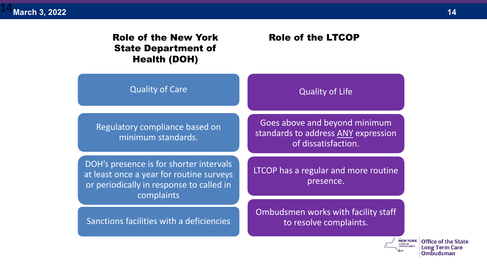#### Role of the New York State Department of Health (DOH)

#### Role of the LTCOP

| <b>Quality of Care</b>                                                                                                                        | <b>Quality of Life</b>                                                                      |
|-----------------------------------------------------------------------------------------------------------------------------------------------|---------------------------------------------------------------------------------------------|
| Regulatory compliance based on<br>minimum standards.                                                                                          | Goes above and beyond minimum<br>standards to address ANY expression<br>of dissatisfaction. |
| DOH's presence is for shorter intervals<br>at least once a year for routine surveys<br>or periodically in response to called in<br>complaints | LTCOP has a regular and more routine<br>presence.                                           |
| Sanctions facilities with a deficiencies                                                                                                      | Ombudsmen works with facility staff<br>to resolve complaints.                               |

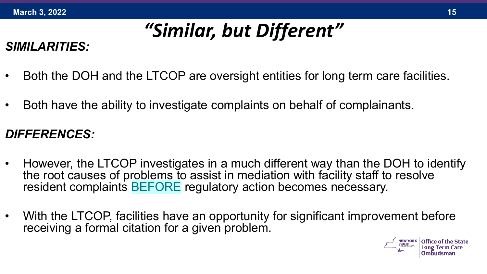### *"Similar, but Different"*

#### *SIMILARITIES:*

- Both the DOH and the LTCOP are oversight entities for long term care facilities.
- Both have the ability to investigate complaints on behalf of complainants.

#### *DIFFERENCES:*

- However, the LTCOP investigates in a much different way than the DOH to identify the root causes of problems to assist in mediation with facility staff to resolve resident complaints BEFORE regulatory action becomes necessary.
- With the LTCOP, facilities have an opportunity for significant improvement before receiving a formal citation for a given problem.

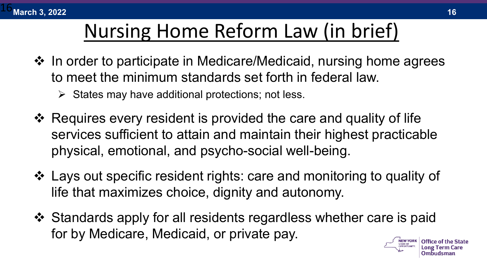

### Nursing Home Reform Law (in brief)

- $\cdot$  **In order to participate in Medicare/Medicaid, nursing home agrees** to meet the minimum standards set forth in federal law.
	- $\triangleright$  States may have additional protections; not less.
- Requires every resident is provided the care and quality of life services sufficient to attain and maintain their highest practicable physical, emotional, and psycho-social well-being.
- Lays out specific resident rights: care and monitoring to quality of life that maximizes choice, dignity and autonomy.
- Standards apply for all residents regardless whether care is paid for by Medicare, Medicaid, or private pay.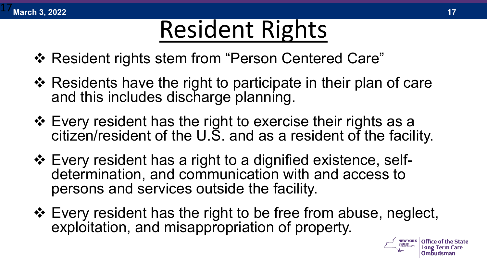

## Resident Rights

- ❖ Resident rights stem from "Person Centered Care"
- $\div$  Residents have the right to participate in their plan of care and this includes discharge planning.
- Every resident has the right to exercise their rights as a citizen/resident of the U.S. and as a resident of the facility.
- Every resident has a right to a dignified existence, self- determination, and communication with and access to persons and services outside the facility.
- Every resident has the right to be free from abuse, neglect, exploitation, and misappropriation of property.

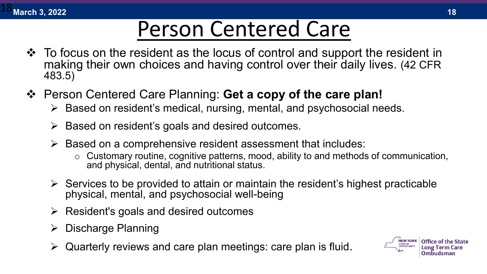

## Person Centered Care

- To focus on the resident as the locus of control and support the resident in making their own choices and having control over their daily lives. (42 CFR 483.5)
- Person Centered Care Planning: **Get a copy of the care plan!**
	- $\triangleright$  Based on resident's medical, nursing, mental, and psychosocial needs.
	- $\triangleright$  Based on resident's goals and desired outcomes.
	- $\triangleright$  Based on a comprehensive resident assessment that includes:
		- $\circ$  Customary routine, cognitive patterns, mood, ability to and methods of communication, and physical, dental, and nutritional status.
	- $\triangleright$  Services to be provided to attain or maintain the resident's highest practicable physical, mental, and psychosocial well-being
	- $\triangleright$  Resident's goals and desired outcomes
	- $\triangleright$  Discharge Planning
	- Quarterly reviews and care plan meetings: care plan is fluid.

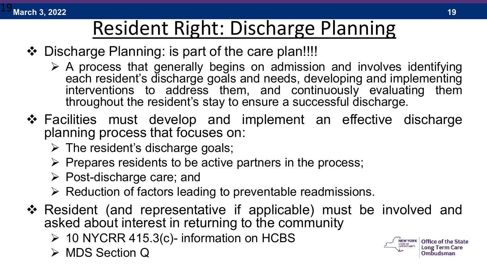

### Resident Right: Discharge Planning

- ❖ Discharge Planning: is part of the care plan!!!!
	- $\triangleright$  A process that generally begins on admission and involves identifying each resident's discharge goals and needs, developing and implementing interventions to address them, and continuously evaluating them throughout the resident's stay to ensure a successful discharge.
- ❖ Facilities must develop and implement an effective discharge planning process that focuses on:
	- $\triangleright$  The resident's discharge goals;
	- $\triangleright$  Prepares residents to be active partners in the process;
	- $\triangleright$  Post-discharge care; and
	- $\triangleright$  Reduction of factors leading to preventable readmissions.
- Resident (and representative if applicable) must be involved and asked about interest in returning to the community
	- $\triangleright$  10 NYCRR 415.3(c)- information on HCBS
	- **EXAINS** Section Q

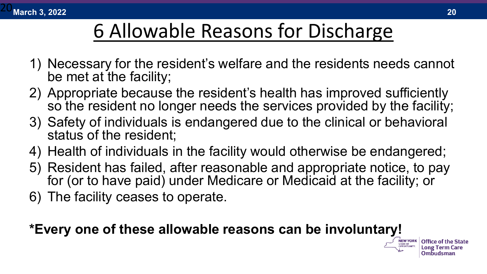

### 6 Allowable Reasons for Discharge

- 1) Necessary for the resident's welfare and the residents needs cannot be met at the facility;
- 2) Appropriate because the resident's health has improved sufficiently so the resident no longer needs the services provided by the facility;
- 3) Safety of individuals is endangered due to the clinical or behavioral status of the resident;
- 4) Health of individuals in the facility would otherwise be endangered;
- 5) Resident has failed, after reasonable and appropriate notice, to pay for (or to have paid) under Medicare or Medicaid at the facility; or
- 6) The facility ceases to operate.

#### **\*Every one of these allowable reasons can be involuntary!**

Ombudsman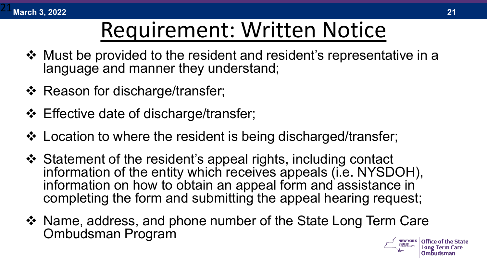

### Requirement: Written Notice

- Must be provided to the resident and resident's representative in a language and manner they understand;
- ❖ Reason for discharge/transfer;
- ❖ Effective date of discharge/transfer;
- ❖ Location to where the resident is being discharged/transfer;
- Statement of the resident's appeal rights, including contact information of the entity which receives appeals (i.e. NYSDOH), information on how to obtain an appeal form and assistance in completing the form and submitting the appeal hearing request;
- ❖ Name, address, and phone number of the State Long Term Care Ombudsman Program

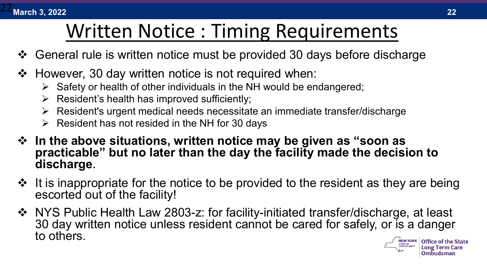### Written Notice : Timing Requirements

- ❖ General rule is written notice must be provided 30 days before discharge
- $\div$  However, 30 day written notice is not required when:
	- $\triangleright$  Safety or health of other individuals in the NH would be endangered;
	- $\triangleright$  Resident's health has improved sufficiently;
	- Resident's urgent medical needs necessitate an immediate transfer/discharge
	- $\triangleright$  Resident has not resided in the NH for 30 days
- **In the above situations, written notice may be given as "soon as practicable" but no later than the day the facility made the decision to discharge.**
- $\cdot$  It is inappropriate for the notice to be provided to the resident as they are being escorted out of the facility!
- ◆ NYS Public Health Law 2803-z: for facility-initiated transfer/discharge, at least 30 day written notice unless resident cannot be cared for safely, or is a danger to others. **Office of the State**

Ombudsman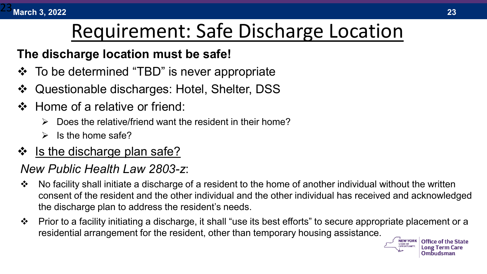

### Requirement: Safe Discharge Location

#### **The discharge location must be safe!**

- $\div$  To be determined "TBD" is never appropriate
- Questionable discharges: Hotel, Shelter, DSS
- ❖ Home of a relative or friend:
	- $\triangleright$  Does the relative/friend want the resident in their home?
	- $\triangleright$  Is the home safe?
- ❖ Is the discharge plan safe?

#### *New Public Health Law 2803-z*:

- $\cdot \cdot$  No facility shall initiate a discharge of a resident to the home of another individual without the written consent of the resident and the other individual and the other individual has received and acknowledged the discharge plan to address the resident's needs.
- $\cdot \cdot$  Prior to a facility initiating a discharge, it shall "use its best efforts" to secure appropriate placement or a residential arrangement for the resident, other than temporary housing assistance.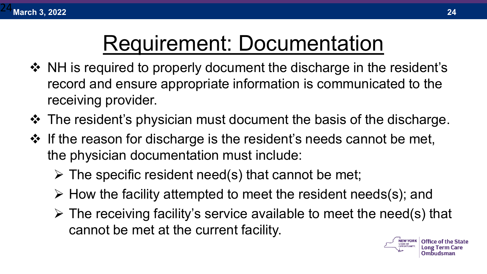## Requirement: Documentation

- ❖ NH is required to properly document the discharge in the resident's record and ensure appropriate information is communicated to the receiving provider.
- $\triangle$  The resident's physician must document the basis of the discharge.
- $\cdot$  If the reason for discharge is the resident's needs cannot be met, the physician documentation must include:
	- $\triangleright$  The specific resident need(s) that cannot be met;
	- $\triangleright$  How the facility attempted to meet the resident needs(s); and
	- $\triangleright$  The receiving facility's service available to meet the need(s) that cannot be met at the current facility.

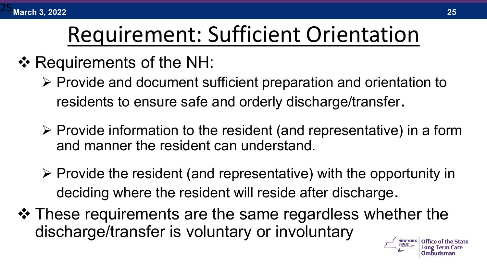

### Requirement: Sufficient Orientation

#### ❖ Requirements of the NH:

- $\triangleright$  Provide and document sufficient preparation and orientation to residents to ensure safe and orderly discharge/transfer.
- $\triangleright$  Provide information to the resident (and representative) in a form and manner the resident can understand.
- $\triangleright$  Provide the resident (and representative) with the opportunity in deciding where the resident will reside after discharge.
- $\triangle$  **These requirements are the same regardless whether the** discharge/transfer is voluntary or involuntary

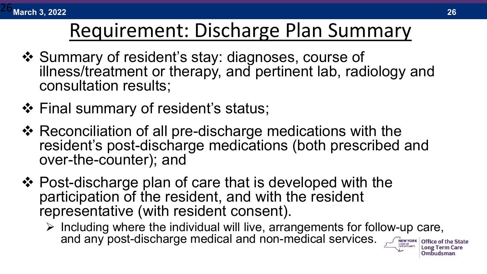

### Requirement: Discharge Plan Summary

- ❖ Summary of resident's stay: diagnoses, course of illness/treatment or therapy, and pertinent lab, radiology and consultation results;
- ❖ Final summary of resident's status;
- ❖ Reconciliation of all pre-discharge medications with the resident's post-discharge medications (both prescribed and over-the-counter); and
- ❖ Post-discharge plan of care that is developed with the participation of the resident, and with the resident representative (with resident consent).
	- $\triangleright$  Including where the individual will live, arrangements for follow-up care, and any post-discharge medical and non-medical services.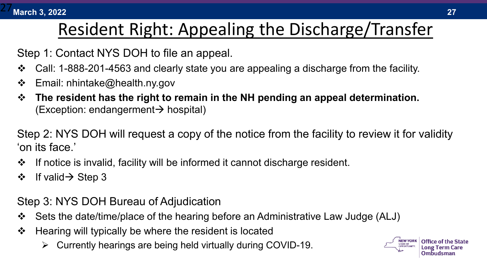

#### Resident Right: Appealing the Discharge/Transfer

Step 1: Contact NYS DOH to file an appeal.

- Call: 1-888-201-4563 and clearly state you are appealing a discharge from the facility.
- $\div$  Email: nhintake@health.ny.gov
- **The resident has the right to remain in the NH pending an appeal determination.**   $(Exception: endangerment \rightarrow hospital)$

Step 2: NYS DOH will request a copy of the notice from the facility to review it for validity 'on its face.'

- $\div$  If notice is invalid, facility will be informed it cannot discharge resident.
- $\div$  If valid  $\rightarrow$  Step 3

Step 3: NYS DOH Bureau of Adjudication

- Sets the date/time/place of the hearing before an Administrative Law Judge (ALJ)
- $\div$  Hearing will typically be where the resident is located
	- $\triangleright$  Currently hearings are being held virtually during COVID-19.

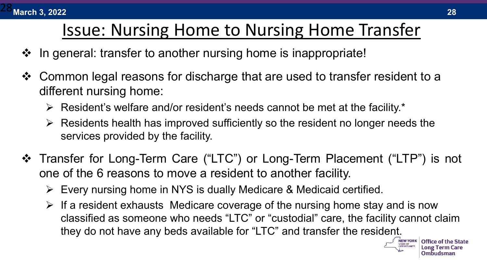

#### Issue: Nursing Home to Nursing Home Transfer

- $\cdot$  In general: transfer to another nursing home is inappropriate!
- Common legal reasons for discharge that are used to transfer resident to a different nursing home:
	- $\triangleright$  Resident's welfare and/or resident's needs cannot be met at the facility.\*
	- $\triangleright$  Residents health has improved sufficiently so the resident no longer needs the services provided by the facility.
- Transfer for Long-Term Care ("LTC") or Long-Term Placement ("LTP") is not one of the 6 reasons to move a resident to another facility.
	- Every nursing home in NYS is dually Medicare & Medicaid certified.
	- $\triangleright$  If a resident exhausts Medicare coverage of the nursing home stay and is now classified as someone who needs "LTC" or "custodial" care, the facility cannot claim they do not have any beds available for "LTC" and transfer the resident.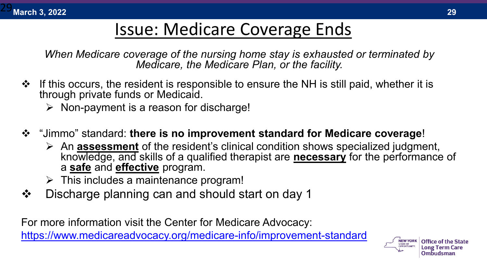

#### Issue: Medicare Coverage Ends

*When Medicare coverage of the nursing home stay is exhausted or terminated by Medicare, the Medicare Plan, or the facility.* 

- $\cdot$  If this occurs, the resident is responsible to ensure the NH is still paid, whether it is through private funds or Medicaid.
	- $\triangleright$  Non-payment is a reason for discharge!
- "Jimmo" standard: **there is no improvement standard for Medicare coverage**!
	- An **assessment** of the resident's clinical condition shows specialized judgment, knowledge, and skills of a qualified therapist are **necessary** for the performance of a **safe** and **effective** program.
	- $\triangleright$  This includes a maintenance program!
- Discharge planning can and should start on day 1

For more information visit the Center for Medicare Advocacy:

[https://www.medicareadvocacy.org/medicare-info/improvement-standard](https://www.medicareadvocacy.org/medicare-info/improvement-standard/)

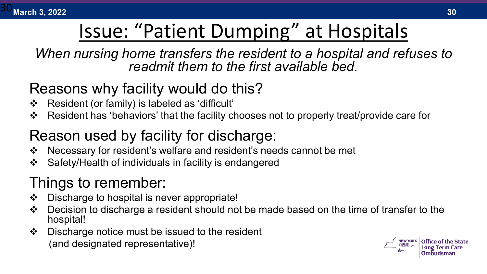

### Issue: "Patient Dumping" at Hospitals

*When nursing home transfers the resident to a hospital and refuses to readmit them to the first available bed.* 

#### Reasons why facility would do this?

- Resident (or family) is labeled as 'difficult'
- Resident has 'behaviors' that the facility chooses not to properly treat/provide care for

#### Reason used by facility for discharge:

- Necessary for resident's welfare and resident's needs cannot be met
- ❖ Safety/Health of individuals in facility is endangered

#### Things to remember:

- Discharge to hospital is never appropriate!
- ◆ Decision to discharge a resident should not be made based on the time of transfer to the hospital!
- $\cdot$  Discharge notice must be issued to the resident (and designated representative)!

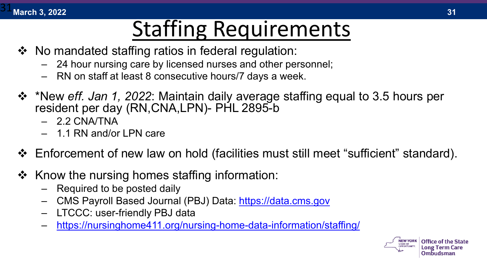**March 3, 2022 31** 31

## Staffing Requirements

- $\div$  No mandated staffing ratios in federal regulation:
	- 24 hour nursing care by licensed nurses and other personnel;
	- RN on staff at least 8 consecutive hours/7 days a week.
- \*New *eff. Jan 1, 2022*: Maintain daily average staffing equal to 3.5 hours per resident per day (RN,CNA,LPN)- PHL 2895-b
	- 2.2 CNA/TNA
	- 1.1 RN and/or LPN care
- Enforcement of new law on hold (facilities must still meet "sufficient" standard).
- $\div$  Know the nursing homes staffing information:
	- Required to be posted daily
	- CMS Payroll Based Journal (PBJ) Data: [https://data.cms.gov](https://data.cms.gov/)
	- LTCCC: user-friendly PBJ data
	- <https://nursinghome411.org/nursing-home-data-information/staffing/>

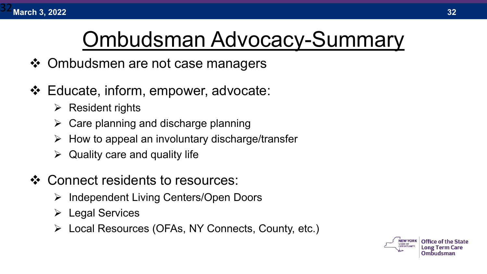

### Ombudsman Advocacy-Summary

- ❖ Ombudsmen are not case managers
- Educate, inform, empower, advocate:
	- $\triangleright$  Resident rights
	- $\triangleright$  Care planning and discharge planning
	- How to appeal an involuntary discharge/transfer
	- $\triangleright$  Quality care and quality life
- ❖ Connect residents to resources:
	- $\triangleright$  Independent Living Centers/Open Doors
	- Legal Services
	- Local Resources (OFAs, NY Connects, County, etc.)



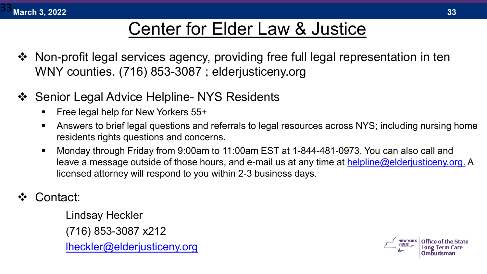

#### Center for Elder Law & Justice

- Non-profit legal services agency, providing free full legal representation in ten WNY counties. (716) 853-3087 ; elderjusticeny.org
- ❖ Senior Legal Advice Helpline- NYS Residents
	- **Filter 1.5 Free legal help for New Yorkers 55+**
	- Answers to brief legal questions and referrals to legal resources across NYS; including nursing home residents rights questions and concerns.
	- Monday through Friday from 9:00am to 11:00am EST at 1-844-481-0973. You can also call and leave a message outside of those hours, and e-mail us at any time at [helpline@elderjusticeny.org.](mailto:%20helpline@elderjusticeny.org) A licensed attorney will respond to you within 2-3 business days.
- Contact:

Lindsay Heckler (716) 853-3087 x212 [lheckler@elderjusticeny.org](mailto:lheckler@elderjusticeny.org)

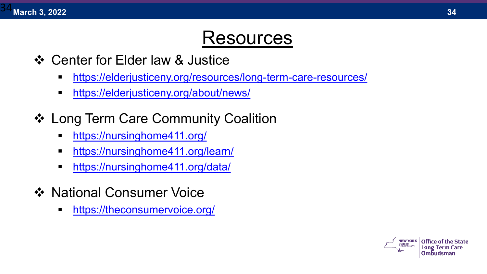

### Resources

- ❖ Center for Elder law & Justice
	- <https://elderjusticeny.org/resources/long-term-care-resources/>
	- <https://elderjusticeny.org/about/news/>
- ❖ Long Term Care Community Coalition
	- <https://nursinghome411.org/>
	- <https://nursinghome411.org/learn/>
	- <https://nursinghome411.org/data/>
- ❖ National Consumer Voice
	- <https://theconsumervoice.org/>



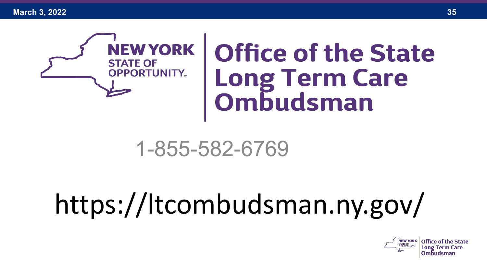**March 3, 2022 35**



# **Office of the State Long Term Care<br>Ombudsman**

### 1-855-582-6769

## https://ltcombudsman.ny.gov/